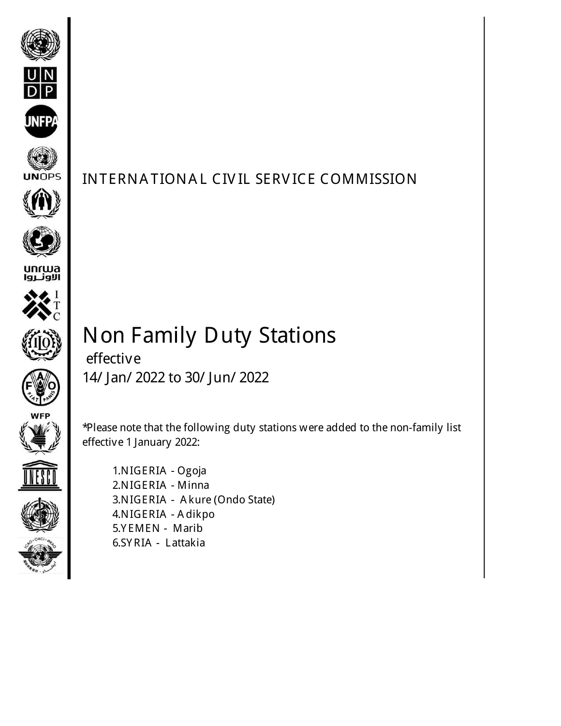









effective



\*Please note that the following duty stations were added to the non-family list effective 1 January 2022:



 1.NIGERIA - Ogoja 2.NIGERIA - Minna 3.NIGERIA - A kure (Ondo State) 4.NIGERIA - A dikpo 5.Y EMEN - Marib 6.SY RIA - Lattakia

Non Family Duty Stations

14/ Jan/ 2022 to 30/ Jun/ 2022

INTERNA TIONA L CIV IL SERV ICE COMMISSION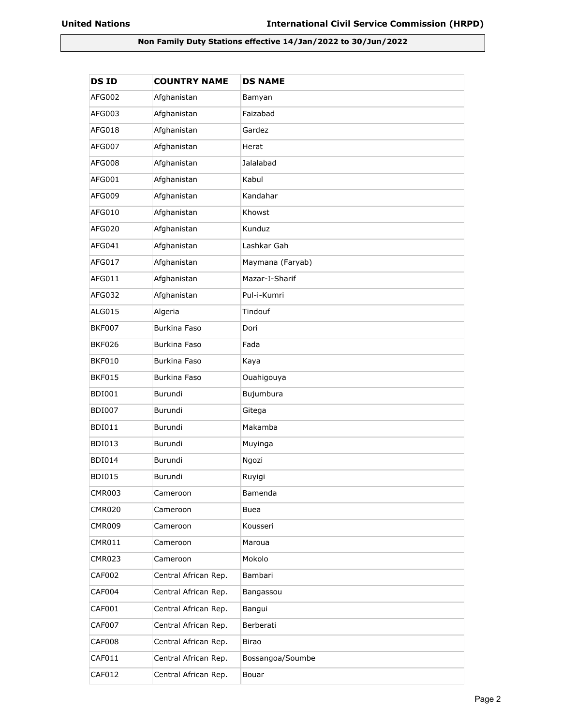## **Non Family Duty Stations effective 14/Jan/2022 to 30/Jun/2022**

| <b>DSID</b>   | <b>COUNTRY NAME</b>  | <b>DS NAME</b>   |
|---------------|----------------------|------------------|
| AFG002        | Afghanistan          | Bamyan           |
| AFG003        | Afghanistan          | Faizabad         |
| AFG018        | Afghanistan          | Gardez           |
| AFG007        | Afghanistan          | Herat            |
| AFG008        | Afghanistan          | Jalalabad        |
| AFG001        | Afghanistan          | Kabul            |
| AFG009        | Afghanistan          | Kandahar         |
| AFG010        | Afghanistan          | Khowst           |
| AFG020        | Afghanistan          | Kunduz           |
| AFG041        | Afghanistan          | Lashkar Gah      |
| AFG017        | Afghanistan          | Maymana (Faryab) |
| AFG011        | Afghanistan          | Mazar-I-Sharif   |
| AFG032        | Afghanistan          | Pul-i-Kumri      |
| ALG015        | Algeria              | Tindouf          |
| <b>BKF007</b> | Burkina Faso         | Dori             |
| <b>BKF026</b> | Burkina Faso         | Fada             |
| <b>BKF010</b> | Burkina Faso         | Kaya             |
| <b>BKF015</b> | Burkina Faso         | Ouahigouya       |
| <b>BDI001</b> | Burundi              | Bujumbura        |
| <b>BDI007</b> | Burundi              | Gitega           |
| <b>BDI011</b> | Burundi              | Makamba          |
| <b>BDI013</b> | Burundi              | Muyinga          |
| <b>BDI014</b> | Burundi              | Ngozi            |
| <b>BDI015</b> | Burundi              | Ruyigi           |
| <b>CMR003</b> | Cameroon             | Bamenda          |
| <b>CMR020</b> | Cameroon             | <b>Buea</b>      |
| <b>CMR009</b> | Cameroon             | Kousseri         |
| <b>CMR011</b> | Cameroon             | Maroua           |
| <b>CMR023</b> | Cameroon             | Mokolo           |
| <b>CAF002</b> | Central African Rep. | Bambari          |
| CAF004        | Central African Rep. | Bangassou        |
| CAF001        | Central African Rep. | Bangui           |
| <b>CAF007</b> | Central African Rep. | Berberati        |
| CAF008        | Central African Rep. | Birao            |
| CAF011        | Central African Rep. | Bossangoa/Soumbe |
| CAF012        | Central African Rep. | Bouar            |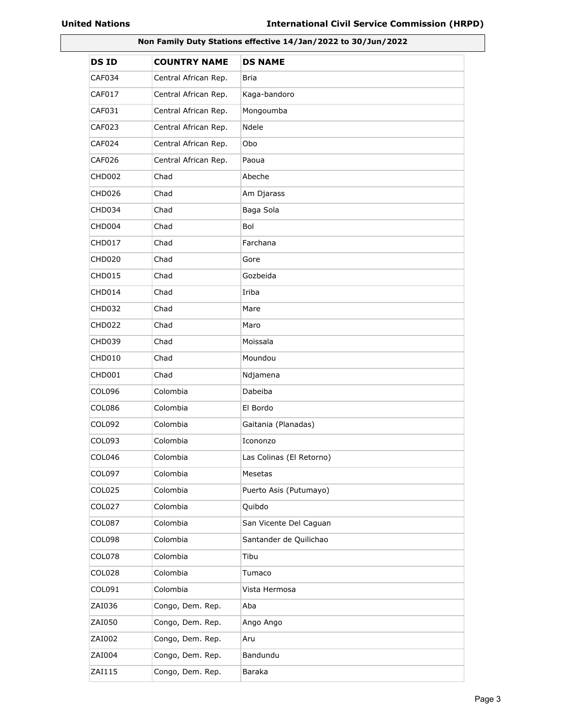| Non Family Duty Stations effective 14/Jan/2022 to 30/Jun/2022 |                      |                          |
|---------------------------------------------------------------|----------------------|--------------------------|
| <b>DSID</b>                                                   | <b>COUNTRY NAME</b>  | <b>DS NAME</b>           |
| CAF034                                                        | Central African Rep. | Bria                     |
| <b>CAF017</b>                                                 | Central African Rep. | Kaga-bandoro             |
| CAF031                                                        | Central African Rep. | Mongoumba                |
| <b>CAF023</b>                                                 | Central African Rep. | Ndele                    |
| CAF024                                                        | Central African Rep. | Obo                      |
| <b>CAF026</b>                                                 | Central African Rep. | Paoua                    |
| <b>CHD002</b>                                                 | Chad                 | Abeche                   |
| <b>CHD026</b>                                                 | Chad                 | Am Djarass               |
| CHD034                                                        | Chad                 | Baga Sola                |
| CHD004                                                        | Chad                 | Bol                      |
| <b>CHD017</b>                                                 | Chad                 | Farchana                 |
| <b>CHD020</b>                                                 | Chad                 | Gore                     |
| <b>CHD015</b>                                                 | Chad                 | Gozbeida                 |
| CHD014                                                        | Chad                 | Iriba                    |
| <b>CHD032</b>                                                 | Chad                 | Mare                     |
| <b>CHD022</b>                                                 | Chad                 | Maro                     |
| <b>CHD039</b>                                                 | Chad                 | Moissala                 |
| <b>CHD010</b>                                                 | Chad                 | Moundou                  |
| CHD001                                                        | Chad                 | Ndjamena                 |
| <b>COL096</b>                                                 | Colombia             | Dabeiba                  |
| <b>COL086</b>                                                 | Colombia             | El Bordo                 |
| COL092                                                        | Colombia             | Gaitania (Planadas)      |
| COL093                                                        | Colombia             | Icononzo                 |
| COL046                                                        | Colombia             | Las Colinas (El Retorno) |
| COL097                                                        | Colombia             | Mesetas                  |
| <b>COL025</b>                                                 | Colombia             | Puerto Asis (Putumayo)   |
| <b>COL027</b>                                                 | Colombia             | Quibdo                   |
| <b>COL087</b>                                                 | Colombia             | San Vicente Del Caguan   |
| <b>COL098</b>                                                 | Colombia             | Santander de Quilichao   |
| COL078                                                        | Colombia             | Tibu                     |
| COL028                                                        | Colombia             | Tumaco                   |
| COL091                                                        | Colombia             | Vista Hermosa            |
| ZAI036                                                        | Congo, Dem. Rep.     | Aba                      |
| ZAI050                                                        | Congo, Dem. Rep.     | Ango Ango                |
| ZAI002                                                        | Congo, Dem. Rep.     | Aru                      |
| ZAI004                                                        | Congo, Dem. Rep.     | Bandundu                 |
| ZAI115                                                        | Congo, Dem. Rep.     | Baraka                   |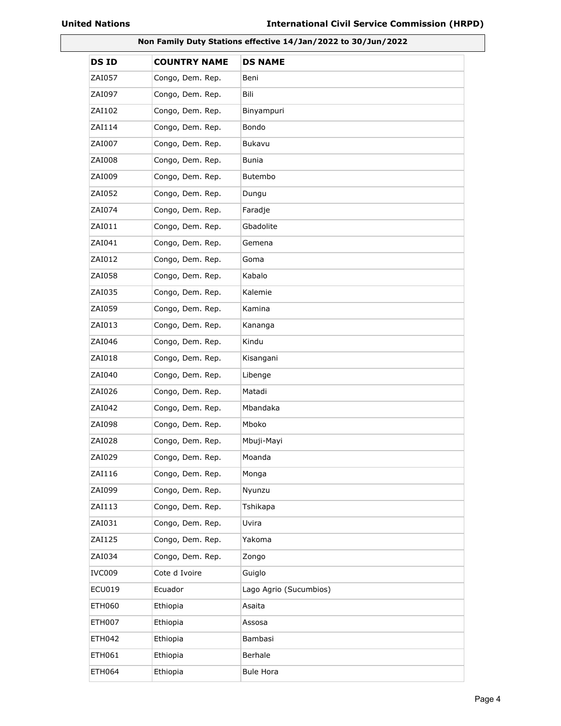| Non Family Duty Stations effective 14/Jan/2022 to 30/Jun/2022 |                     |                        |
|---------------------------------------------------------------|---------------------|------------------------|
| <b>DSID</b>                                                   | <b>COUNTRY NAME</b> | <b>DS NAME</b>         |
| ZAI057                                                        | Congo, Dem. Rep.    | Beni                   |
| ZAI097                                                        | Congo, Dem. Rep.    | Bili                   |
| ZAI102                                                        | Congo, Dem. Rep.    | Binyampuri             |
| ZAI114                                                        | Congo, Dem. Rep.    | Bondo                  |
| ZAI007                                                        | Congo, Dem. Rep.    | Bukavu                 |
| ZAI008                                                        | Congo, Dem. Rep.    | Bunia                  |
| ZAI009                                                        | Congo, Dem. Rep.    | Butembo                |
| ZAI052                                                        | Congo, Dem. Rep.    | Dungu                  |
| ZAI074                                                        | Congo, Dem. Rep.    | Faradje                |
| ZAI011                                                        | Congo, Dem. Rep.    | Gbadolite              |
| ZAI041                                                        | Congo, Dem. Rep.    | Gemena                 |
| ZAI012                                                        | Congo, Dem. Rep.    | Goma                   |
| ZAI058                                                        | Congo, Dem. Rep.    | Kabalo                 |
| ZAI035                                                        | Congo, Dem. Rep.    | Kalemie                |
| ZAI059                                                        | Congo, Dem. Rep.    | Kamina                 |
| ZAI013                                                        | Congo, Dem. Rep.    | Kananga                |
| ZAI046                                                        | Congo, Dem. Rep.    | Kindu                  |
| ZAI018                                                        | Congo, Dem. Rep.    | Kisangani              |
| ZAI040                                                        | Congo, Dem. Rep.    | Libenge                |
| ZAI026                                                        | Congo, Dem. Rep.    | Matadi                 |
| ZAI042                                                        | Congo, Dem. Rep.    | Mbandaka               |
| ZAI098                                                        | Congo, Dem. Rep.    | Mboko                  |
| ZAI028                                                        | Congo, Dem. Rep.    | Mbuji-Mayi             |
| ZAI029                                                        | Congo, Dem. Rep.    | Moanda                 |
| ZAI116                                                        | Congo, Dem. Rep.    | Monga                  |
| ZAI099                                                        | Congo, Dem. Rep.    | Nyunzu                 |
| ZAI113                                                        | Congo, Dem. Rep.    | Tshikapa               |
| ZAI031                                                        | Congo, Dem. Rep.    | Uvira                  |
| ZAI125                                                        | Congo, Dem. Rep.    | Yakoma                 |
| ZAI034                                                        | Congo, Dem. Rep.    | Zongo                  |
| IVC009                                                        | Cote d Ivoire       | Guiglo                 |
| <b>ECU019</b>                                                 | Ecuador             | Lago Agrio (Sucumbios) |
| <b>ETH060</b>                                                 | Ethiopia            | Asaita                 |
| <b>ETH007</b>                                                 | Ethiopia            | Assosa                 |
| <b>ETH042</b>                                                 | Ethiopia            | Bambasi                |
| ETH061                                                        | Ethiopia            | Berhale                |
| <b>ETH064</b>                                                 | Ethiopia            | <b>Bule Hora</b>       |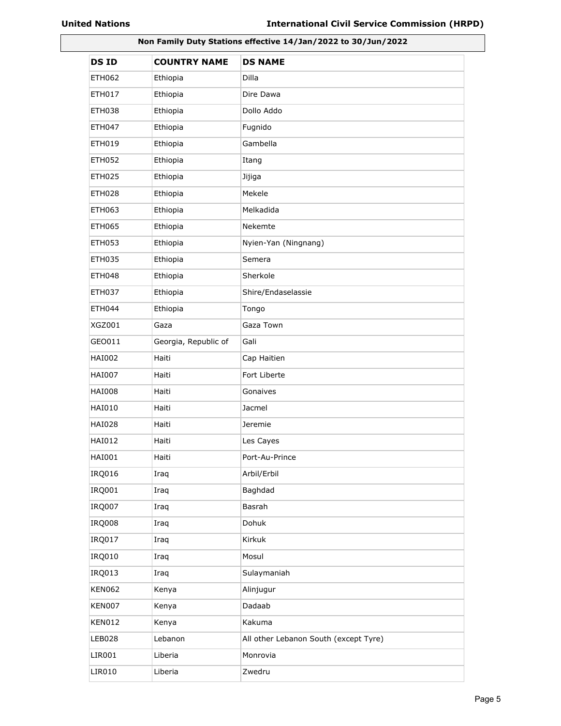| Non Family Duty Stations effective 14/Jan/2022 to 30/Jun/2022 |                      |                                       |
|---------------------------------------------------------------|----------------------|---------------------------------------|
| <b>DSID</b>                                                   | <b>COUNTRY NAME</b>  | <b>DS NAME</b>                        |
| <b>ETH062</b>                                                 | Ethiopia             | Dilla                                 |
| ETH017                                                        | Ethiopia             | Dire Dawa                             |
| <b>ETH038</b>                                                 | Ethiopia             | Dollo Addo                            |
| <b>ETH047</b>                                                 | Ethiopia             | Fugnido                               |
| <b>ETH019</b>                                                 | Ethiopia             | Gambella                              |
| <b>ETH052</b>                                                 | Ethiopia             | Itang                                 |
| <b>ETH025</b>                                                 | Ethiopia             | Jijiga                                |
| ETH028                                                        | Ethiopia             | Mekele                                |
| <b>ETH063</b>                                                 | Ethiopia             | Melkadida                             |
| <b>ETH065</b>                                                 | Ethiopia             | Nekemte                               |
| <b>ETH053</b>                                                 | Ethiopia             | Nyien-Yan (Ningnang)                  |
| <b>ETH035</b>                                                 | Ethiopia             | Semera                                |
| <b>ETH048</b>                                                 | Ethiopia             | Sherkole                              |
| <b>ETH037</b>                                                 | Ethiopia             | Shire/Endaselassie                    |
| <b>ETH044</b>                                                 | Ethiopia             | Tongo                                 |
| <b>XGZ001</b>                                                 | Gaza                 | Gaza Town                             |
| GEO011                                                        | Georgia, Republic of | Gali                                  |
| <b>HAI002</b>                                                 | Haiti                | Cap Haitien                           |
| <b>HAI007</b>                                                 | Haiti                | Fort Liberte                          |
| <b>HAI008</b>                                                 | Haiti                | Gonaives                              |
| <b>HAI010</b>                                                 | Haiti                | Jacmel                                |
| HAI028                                                        | Haiti                | Jeremie                               |
| HAI012                                                        | Haiti                | Les Cayes                             |
| HAI001                                                        | Haiti                | Port-Au-Prince                        |
| IRQ016                                                        | Iraq                 | Arbil/Erbil                           |
| IRQ001                                                        | Iraq                 | Baghdad                               |
| <b>IRQ007</b>                                                 | Iraq                 | Basrah                                |
| <b>IRQ008</b>                                                 | Iraq                 | Dohuk                                 |
| <b>IRQ017</b>                                                 | Iraq                 | Kirkuk                                |
| IRQ010                                                        | Iraq                 | Mosul                                 |
| IRQ013                                                        | Iraq                 | Sulaymaniah                           |
| <b>KEN062</b>                                                 | Kenya                | Alinjugur                             |
| <b>KEN007</b>                                                 | Kenya                | Dadaab                                |
| <b>KEN012</b>                                                 | Kenya                | Kakuma                                |
| <b>LEB028</b>                                                 | Lebanon              | All other Lebanon South (except Tyre) |
| LIR001                                                        | Liberia              | Monrovia                              |
| LIR010                                                        | Liberia              | Zwedru                                |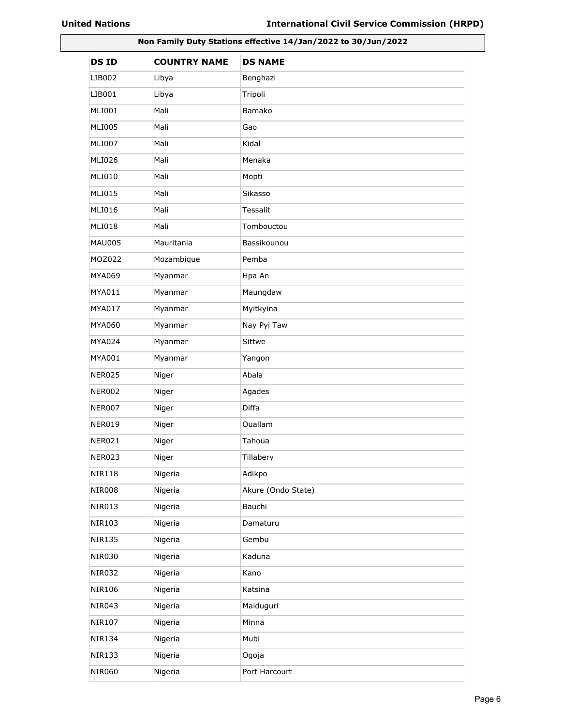| Non Family Duty Stations effective 14/Jan/2022 to 30/Jun/2022 |                     |                    |
|---------------------------------------------------------------|---------------------|--------------------|
| <b>DSID</b>                                                   | <b>COUNTRY NAME</b> | <b>DS NAME</b>     |
| LIB002                                                        | Libya               | Benghazi           |
| LIB001                                                        | Libya               | Tripoli            |
| MLI001                                                        | Mali                | Bamako             |
| <b>MLI005</b>                                                 | Mali                | Gao                |
| <b>MLI007</b>                                                 | Mali                | Kidal              |
| <b>MLI026</b>                                                 | Mali                | Menaka             |
| MLI010                                                        | Mali                | Mopti              |
| <b>MLI015</b>                                                 | Mali                | Sikasso            |
| <b>MLI016</b>                                                 | Mali                | Tessalit           |
| <b>MLI018</b>                                                 | Mali                | Tombouctou         |
| <b>MAU005</b>                                                 | Mauritania          | Bassikounou        |
| MOZ022                                                        | Mozambique          | Pemba              |
| MYA069                                                        | Myanmar             | Hpa An             |
| MYA011                                                        | Myanmar             | Maungdaw           |
| MYA017                                                        | Myanmar             | Myitkyina          |
| MYA060                                                        | Myanmar             | Nay Pyi Taw        |
| MYA024                                                        | Myanmar             | Sittwe             |
| MYA001                                                        | Myanmar             | Yangon             |
| <b>NER025</b>                                                 | Niger               | Abala              |
| <b>NER002</b>                                                 | Niger               | Agades             |
| <b>NER007</b>                                                 | Niger               | Diffa              |
| <b>NER019</b>                                                 | Niger               | Ouallam            |
| NER021                                                        | Niger               | Tahoua             |
| <b>NER023</b>                                                 | Niger               | Tillabery          |
| <b>NIR118</b>                                                 | Nigeria             | Adikpo             |
| <b>NIR008</b>                                                 | Nigeria             | Akure (Ondo State) |
| <b>NIR013</b>                                                 | Nigeria             | Bauchi             |
| <b>NIR103</b>                                                 | Nigeria             | Damaturu           |
| <b>NIR135</b>                                                 | Nigeria             | Gembu              |
| <b>NIR030</b>                                                 | Nigeria             | Kaduna             |
| <b>NIR032</b>                                                 | Nigeria             | Kano               |
| <b>NIR106</b>                                                 | Nigeria             | Katsina            |
| <b>NIR043</b>                                                 | Nigeria             | Maiduguri          |
| <b>NIR107</b>                                                 | Nigeria             | Minna              |
| <b>NIR134</b>                                                 | Nigeria             | Mubi               |
| <b>NIR133</b>                                                 | Nigeria             | Ogoja              |
| <b>NIR060</b>                                                 | Nigeria             | Port Harcourt      |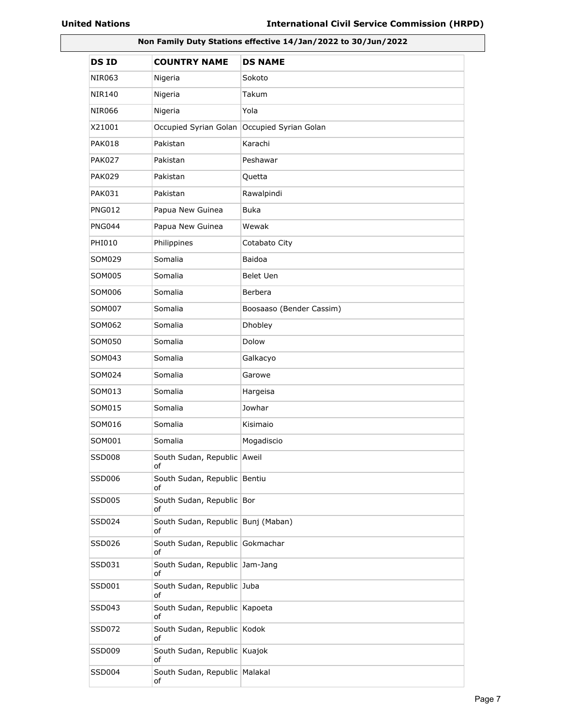| Non Family Duty Stations effective 14/Jan/2022 to 30/Jun/2022 |                                          |                          |
|---------------------------------------------------------------|------------------------------------------|--------------------------|
| <b>DSID</b>                                                   | <b>COUNTRY NAME</b>                      | <b>DS NAME</b>           |
| NIR063                                                        | Nigeria                                  | Sokoto                   |
| NIR140                                                        | Nigeria                                  | Takum                    |
| <b>NIR066</b>                                                 | Nigeria                                  | Yola                     |
| X21001                                                        | Occupied Syrian Golan                    | Occupied Syrian Golan    |
| PAK018                                                        | Pakistan                                 | Karachi                  |
| <b>PAK027</b>                                                 | Pakistan                                 | Peshawar                 |
| <b>PAK029</b>                                                 | Pakistan                                 | Quetta                   |
| <b>PAK031</b>                                                 | Pakistan                                 | Rawalpindi               |
| <b>PNG012</b>                                                 | Papua New Guinea                         | Buka                     |
| <b>PNG044</b>                                                 | Papua New Guinea                         | Wewak                    |
| PHI010                                                        | Philippines                              | Cotabato City            |
| SOM029                                                        | Somalia                                  | Baidoa                   |
| SOM005                                                        | Somalia                                  | Belet Uen                |
| SOM006                                                        | Somalia                                  | Berbera                  |
| SOM007                                                        | Somalia                                  | Boosaaso (Bender Cassim) |
| SOM062                                                        | Somalia                                  | Dhobley                  |
| SOM050                                                        | Somalia                                  | Dolow                    |
| SOM043                                                        | Somalia                                  | Galkacyo                 |
| SOM024                                                        | Somalia                                  | Garowe                   |
| SOM013                                                        | Somalia                                  | Hargeisa                 |
| SOM015                                                        | Somalia                                  | Jowhar                   |
| SOM016                                                        | Somalia                                  | Kisimaio                 |
| SOM001                                                        | Somalia                                  | Mogadiscio               |
| <b>SSD008</b>                                                 | South Sudan, Republic Aweil<br>of        |                          |
| SSD006                                                        | South Sudan, Republic Bentiu<br>of       |                          |
| <b>SSD005</b>                                                 | South Sudan, Republic Bor<br>of          |                          |
| SSD024                                                        | South Sudan, Republic Bunj (Maban)<br>of |                          |
| SSD026                                                        | South Sudan, Republic Gokmachar<br>of    |                          |
| SSD031                                                        | South Sudan, Republic Jam-Jang<br>οf     |                          |
| SSD001                                                        | South Sudan, Republic Juba<br>οf         |                          |
| SSD043                                                        | South Sudan, Republic Kapoeta<br>οf      |                          |
| SSD072                                                        | South Sudan, Republic Kodok<br>of        |                          |
| SSD009                                                        | South Sudan, Republic Kuajok<br>of       |                          |
| <b>SSD004</b>                                                 | South Sudan, Republic   Malakal<br>оf    |                          |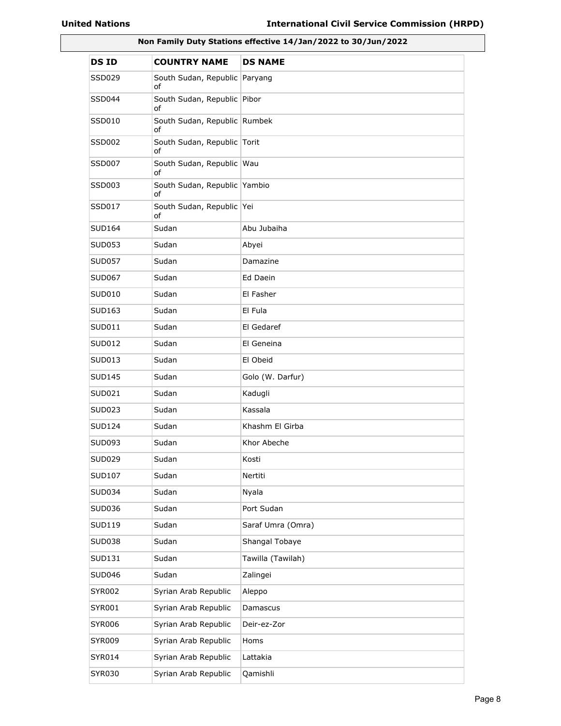| Non Family Duty Stations effective 14/Jan/2022 to 30/Jun/2022 |                                    |                   |
|---------------------------------------------------------------|------------------------------------|-------------------|
| <b>DSID</b>                                                   | <b>COUNTRY NAME</b>                | <b>DS NAME</b>    |
| SSD029                                                        | South Sudan, Republic<br>of        | Paryang           |
| SSD044                                                        | South Sudan, Republic Pibor<br>οf  |                   |
| SSD010                                                        | South Sudan, Republic Rumbek<br>of |                   |
| SSD002                                                        | South Sudan, Republic Torit<br>of  |                   |
| SSD007                                                        | South Sudan, Republic Wau<br>of    |                   |
| SSD003                                                        | South Sudan, Republic Yambio<br>of |                   |
| SSD017                                                        | South Sudan, Republic Yei<br>οf    |                   |
| SUD164                                                        | Sudan                              | Abu Jubaiha       |
| SUD053                                                        | Sudan                              | Abyei             |
| <b>SUD057</b>                                                 | Sudan                              | Damazine          |
| <b>SUD067</b>                                                 | Sudan                              | Ed Daein          |
| SUD010                                                        | Sudan                              | El Fasher         |
| SUD163                                                        | Sudan                              | El Fula           |
| SUD011                                                        | Sudan                              | El Gedaref        |
| <b>SUD012</b>                                                 | Sudan                              | El Geneina        |
| SUD013                                                        | Sudan                              | El Obeid          |
| <b>SUD145</b>                                                 | Sudan                              | Golo (W. Darfur)  |
| SUD021                                                        | Sudan                              | Kadugli           |
| <b>SUD023</b>                                                 | Sudan                              | Kassala           |
| SUD124                                                        | Sudan                              | Khashm El Girba   |
| SUD093                                                        | Sudan                              | Khor Abeche       |
| SUD029                                                        | Sudan                              | Kosti             |
| <b>SUD107</b>                                                 | Sudan                              | Nertiti           |
| SUD034                                                        | Sudan                              | Nyala             |
| SUD036                                                        | Sudan                              | Port Sudan        |
| SUD119                                                        | Sudan                              | Saraf Umra (Omra) |
| <b>SUD038</b>                                                 | Sudan                              | Shangal Tobaye    |
| SUD131                                                        | Sudan                              | Tawilla (Tawilah) |
| <b>SUD046</b>                                                 | Sudan                              | Zalingei          |
| <b>SYR002</b>                                                 | Syrian Arab Republic               | Aleppo            |
| SYR001                                                        | Syrian Arab Republic               | Damascus          |
| <b>SYR006</b>                                                 | Syrian Arab Republic               | Deir-ez-Zor       |
| <b>SYR009</b>                                                 | Syrian Arab Republic               | Homs              |
| SYR014                                                        | Syrian Arab Republic               | Lattakia          |
| SYR030                                                        | Syrian Arab Republic               | Qamishli          |